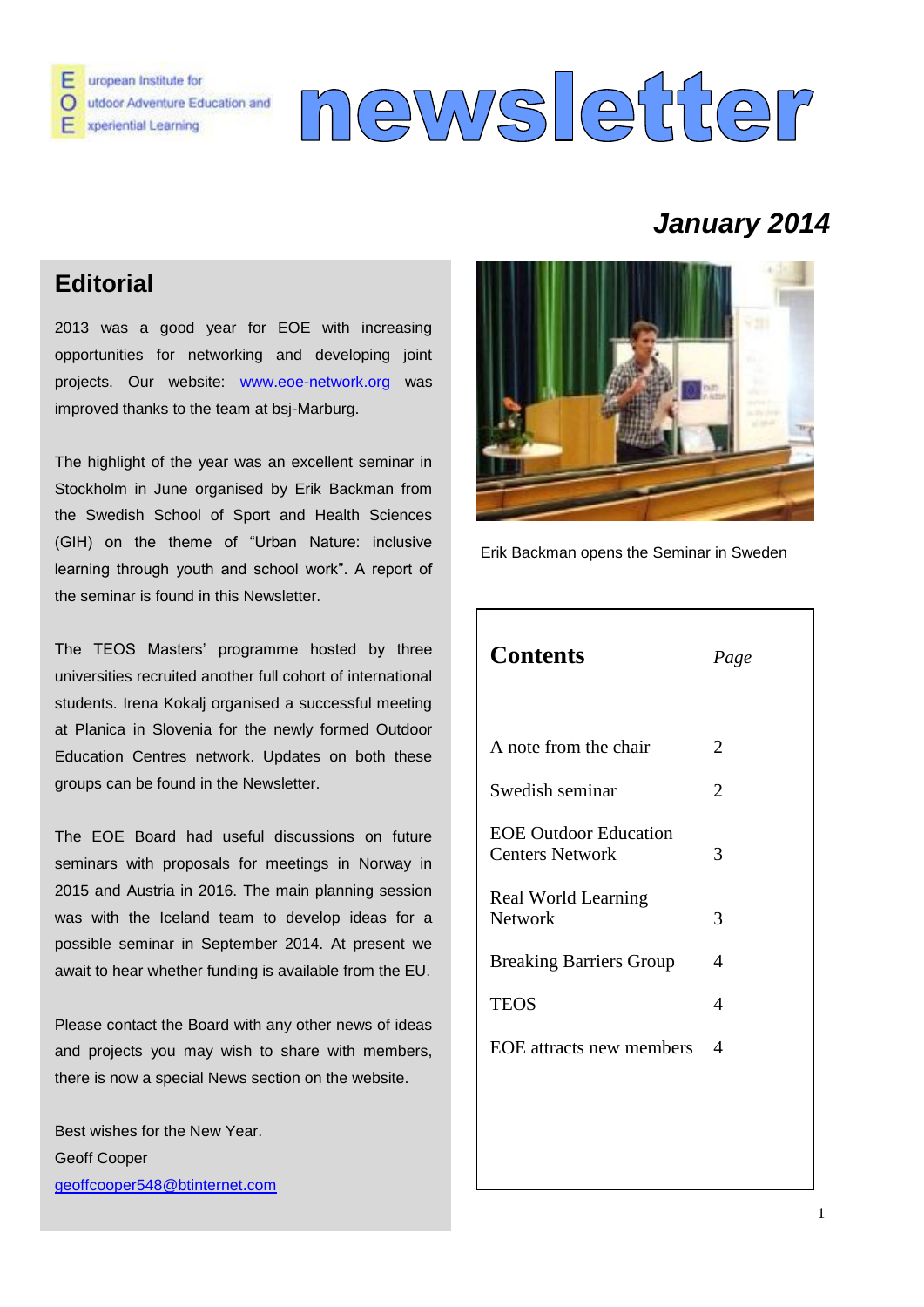

# newsletter

# *January 2014*

## **Editorial**

2013 was a good year for EOE with increasing opportunities for networking and developing joint projects. Our website: [www.eoe-network.org](http://www.eoe-network.org/) was improved thanks to the team at bsj-Marburg.

The highlight of the year was an excellent seminar in Stockholm in June organised by Erik Backman from the Swedish School of Sport and Health Sciences (GIH) on the theme of "Urban Nature: inclusive learning through youth and school work". A report of the seminar is found in this Newsletter.

The TEOS Masters' programme hosted by three universities recruited another full cohort of international students. Irena Kokalj organised a successful meeting at Planica in Slovenia for the newly formed Outdoor Education Centres network. Updates on both these groups can be found in the Newsletter.

The EOE Board had useful discussions on future seminars with proposals for meetings in Norway in 2015 and Austria in 2016. The main planning session was with the Iceland team to develop ideas for a possible seminar in September 2014. At present we await to hear whether funding is available from the EU.

Please contact the Board with any other news of ideas and projects you may wish to share with members, there is now a special News section on the website.

Best wishes for the New Year. Geoff Cooper [geoffcooper548@btinternet.com](mailto:geoffcooper548@btinternet.com) 



Erik Backman opens the Seminar in Sweden

| <b>Contents</b>                                        | Page                        |
|--------------------------------------------------------|-----------------------------|
|                                                        |                             |
| A note from the chair                                  | $\mathcal{D}_{\mathcal{L}}$ |
| Swedish seminar                                        | $\mathcal{D}_{\mathcal{L}}$ |
| <b>EOE</b> Outdoor Education<br><b>Centers Network</b> | 3                           |
| Real World Learning<br><b>Network</b>                  | 3                           |
| <b>Breaking Barriers Group</b>                         | $\overline{A}$              |
| <b>TEOS</b>                                            | 4                           |
| EOE attracts new members                               | 4                           |
|                                                        |                             |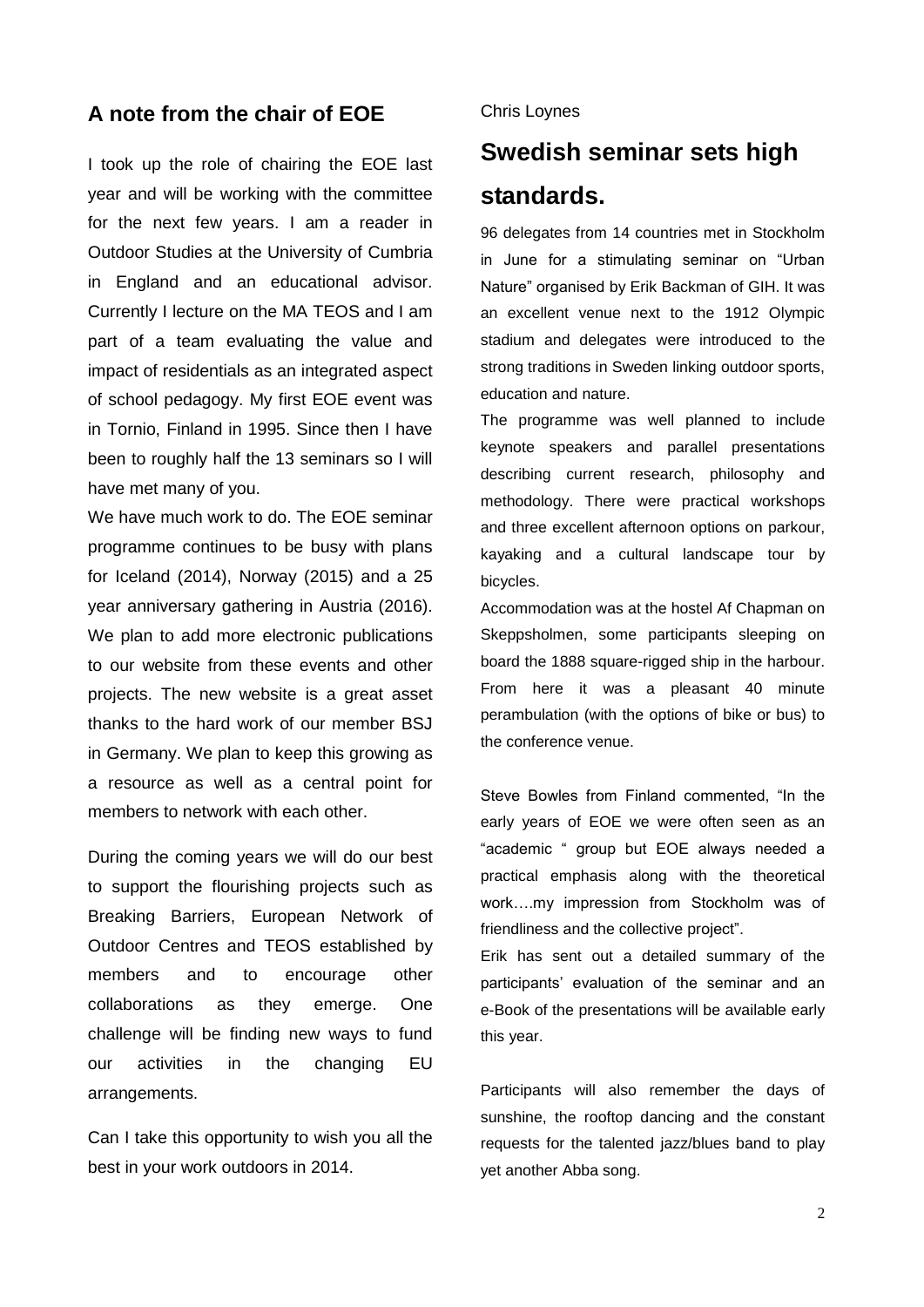#### **A note from the chair of EOE**

I took up the role of chairing the EOE last year and will be working with the committee for the next few years. I am a reader in Outdoor Studies at the University of Cumbria in England and an educational advisor. Currently I lecture on the MA TEOS and I am part of a team evaluating the value and impact of residentials as an integrated aspect of school pedagogy. My first EOE event was in Tornio, Finland in 1995. Since then I have been to roughly half the 13 seminars so I will have met many of you.

We have much work to do. The EOE seminar programme continues to be busy with plans for Iceland (2014), Norway (2015) and a 25 year anniversary gathering in Austria (2016). We plan to add more electronic publications to our website from these events and other projects. The new website is a great asset thanks to the hard work of our member BSJ in Germany. We plan to keep this growing as a resource as well as a central point for members to network with each other.

During the coming years we will do our best to support the flourishing projects such as Breaking Barriers, European Network of Outdoor Centres and TEOS established by members and to encourage other collaborations as they emerge. One challenge will be finding new ways to fund our activities in the changing EU arrangements.

Can I take this opportunity to wish you all the best in your work outdoors in 2014.

#### Chris Loynes

# **Swedish seminar sets high standards.**

96 delegates from 14 countries met in Stockholm in June for a stimulating seminar on "Urban Nature" organised by Erik Backman of GIH. It was an excellent venue next to the 1912 Olympic stadium and delegates were introduced to the strong traditions in Sweden linking outdoor sports, education and nature.

The programme was well planned to include keynote speakers and parallel presentations describing current research, philosophy and methodology. There were practical workshops and three excellent afternoon options on parkour, kayaking and a cultural landscape tour by bicycles.

Accommodation was at the hostel Af Chapman on Skeppsholmen, some participants sleeping on board the 1888 square-rigged ship in the harbour. From here it was a pleasant 40 minute perambulation (with the options of bike or bus) to the conference venue.

Steve Bowles from Finland commented, "In the early years of EOE we were often seen as an "academic " group but EOE always needed a practical emphasis along with the theoretical work….my impression from Stockholm was of friendliness and the collective project".

Erik has sent out a detailed summary of the participants' evaluation of the seminar and an e-Book of the presentations will be available early this year.

Participants will also remember the days of sunshine, the rooftop dancing and the constant requests for the talented jazz/blues band to play yet another Abba song.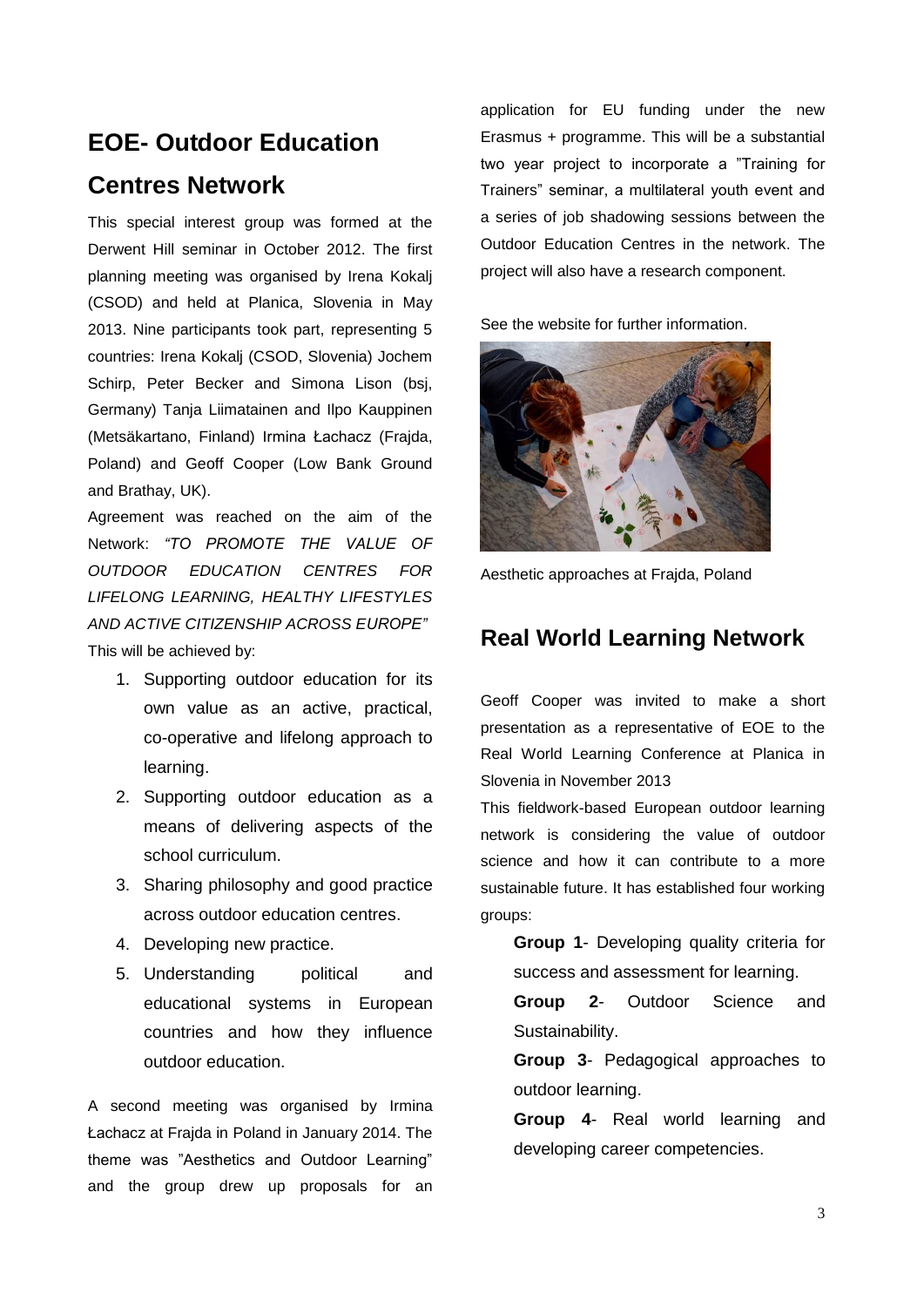# **EOE- Outdoor Education Centres Network**

This special interest group was formed at the Derwent Hill seminar in October 2012. The first planning meeting was organised by Irena Kokalj (CSOD) and held at Planica, Slovenia in May 2013. Nine participants took part, representing 5 countries: Irena Kokalj (CSOD, Slovenia) Jochem Schirp, Peter Becker and Simona Lison (bsj, Germany) Tanja Liimatainen and Ilpo Kauppinen (Metsäkartano, Finland) Irmina Łachacz (Frajda, Poland) and Geoff Cooper (Low Bank Ground and Brathay, UK).

Agreement was reached on the aim of the Network: *"TO PROMOTE THE VALUE OF OUTDOOR EDUCATION CENTRES FOR LIFELONG LEARNING, HEALTHY LIFESTYLES AND ACTIVE CITIZENSHIP ACROSS EUROPE"* This will be achieved by:

- 1. Supporting outdoor education for its own value as an active, practical, co-operative and lifelong approach to learning.
- 2. Supporting outdoor education as a means of delivering aspects of the school curriculum.
- 3. Sharing philosophy and good practice across outdoor education centres.
- 4. Developing new practice.
- 5. Understanding political and educational systems in European countries and how they influence outdoor education.

A second meeting was organised by Irmina Łachacz at Frajda in Poland in January 2014. The theme was "Aesthetics and Outdoor Learning" and the group drew up proposals for an

application for EU funding under the new Erasmus + programme. This will be a substantial two year project to incorporate a "Training for Trainers" seminar, a multilateral youth event and a series of job shadowing sessions between the Outdoor Education Centres in the network. The project will also have a research component.

See the website for further information.



Aesthetic approaches at Frajda, Poland

#### **Real World Learning Network**

Geoff Cooper was invited to make a short presentation as a representative of EOE to the Real World Learning Conference at Planica in Slovenia in November 2013

This fieldwork-based European outdoor learning network is considering the value of outdoor science and how it can contribute to a more sustainable future. It has established four working groups:

**Group 1**- Developing quality criteria for success and assessment for learning.

**Group 2**- Outdoor Science and Sustainability.

**Group 3**- Pedagogical approaches to outdoor learning.

**Group 4**- Real world learning and developing career competencies.